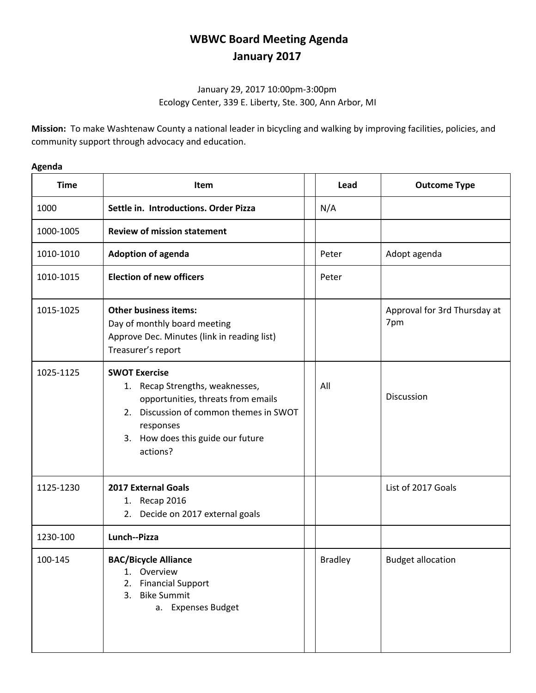## **WBWC Board Meeting Agenda January 2017**

## January 29, 2017 10:00pm-3:00pm Ecology Center, 339 E. Liberty, Ste. 300, Ann Arbor, MI

**Mission:** To make Washtenaw County a national leader in bicycling and walking by improving facilities, policies, and community support through advocacy and education.

| <b>Time</b> | <b>Item</b>                                                                                                                                                                                           | Lead           | <b>Outcome Type</b>                 |
|-------------|-------------------------------------------------------------------------------------------------------------------------------------------------------------------------------------------------------|----------------|-------------------------------------|
| 1000        | Settle in. Introductions. Order Pizza                                                                                                                                                                 | N/A            |                                     |
| 1000-1005   | <b>Review of mission statement</b>                                                                                                                                                                    |                |                                     |
| 1010-1010   | <b>Adoption of agenda</b>                                                                                                                                                                             | Peter          | Adopt agenda                        |
| 1010-1015   | <b>Election of new officers</b>                                                                                                                                                                       | Peter          |                                     |
| 1015-1025   | <b>Other business items:</b><br>Day of monthly board meeting<br>Approve Dec. Minutes (link in reading list)<br>Treasurer's report                                                                     |                | Approval for 3rd Thursday at<br>7pm |
| 1025-1125   | <b>SWOT Exercise</b><br>1. Recap Strengths, weaknesses,<br>opportunities, threats from emails<br>2. Discussion of common themes in SWOT<br>responses<br>3. How does this guide our future<br>actions? | All            | Discussion                          |
| 1125-1230   | <b>2017 External Goals</b><br>1. Recap 2016<br>2. Decide on 2017 external goals                                                                                                                       |                | List of 2017 Goals                  |
| 1230-100    | Lunch--Pizza                                                                                                                                                                                          |                |                                     |
| 100-145     | <b>BAC/Bicycle Alliance</b><br>Overview<br>1.<br><b>Financial Support</b><br>2.<br><b>Bike Summit</b><br>3.<br>a. Expenses Budget                                                                     | <b>Bradley</b> | <b>Budget allocation</b>            |

## **Agenda**